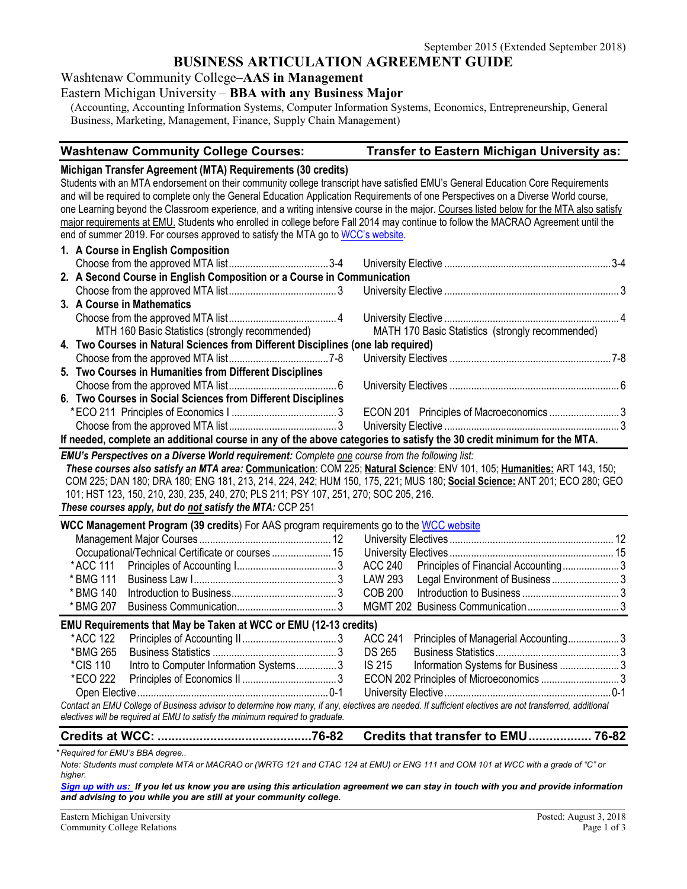## **BUSINESS ARTICULATION AGREEMENT GUIDE**

Washtenaw Community College–**AAS in Management** 

#### Eastern Michigan University – **BBA with any Business Major**

(Accounting, Accounting Information Systems, Computer Information Systems, Economics, Entrepreneurship, General Business, Marketing, Management, Finance, Supply Chain Management)

#### **Washtenaw Community College Courses: Transfer to Eastern Michigan University as:**

#### **Michigan Transfer Agreement (MTA) Requirements (30 credits)**

Students with an MTA endorsement on their community college transcript have satisfied EMU's General Education Core Requirements and will be required to complete only the General Education Application Requirements of one Perspectives on a Diverse World course, one Learning beyond the Classroom experience, and a writing intensive course in the major. Courses listed below for the MTA also satisfy major requirements at EMU. Students who enrolled in college before Fall 2014 may continue to follow the MACRAO Agreement until the end of summer 2019. For courses approved to satisfy the MTA go t[o WCC's website.](http://www.wccnet.edu/services/transferresources/mta/)

|                                                                                                                       | 1. A Course in English Composition                                                               |  |  |  |
|-----------------------------------------------------------------------------------------------------------------------|--------------------------------------------------------------------------------------------------|--|--|--|
|                                                                                                                       |                                                                                                  |  |  |  |
|                                                                                                                       | 2. A Second Course in English Composition or a Course in Communication                           |  |  |  |
|                                                                                                                       |                                                                                                  |  |  |  |
|                                                                                                                       | 3. A Course in Mathematics                                                                       |  |  |  |
|                                                                                                                       |                                                                                                  |  |  |  |
|                                                                                                                       | MTH 160 Basic Statistics (strongly recommended) MATH 170 Basic Statistics (strongly recommended) |  |  |  |
|                                                                                                                       | 4. Two Courses in Natural Sciences from Different Disciplines (one lab required)                 |  |  |  |
|                                                                                                                       |                                                                                                  |  |  |  |
|                                                                                                                       | 5. Two Courses in Humanities from Different Disciplines                                          |  |  |  |
|                                                                                                                       |                                                                                                  |  |  |  |
|                                                                                                                       | 6. Two Courses in Social Sciences from Different Disciplines                                     |  |  |  |
|                                                                                                                       |                                                                                                  |  |  |  |
|                                                                                                                       |                                                                                                  |  |  |  |
| If needed, complete an additional course in any of the above categories to satisfy the 30 credit minimum for the MTA. |                                                                                                  |  |  |  |

*EMU's Perspectives on a Diverse World requirement: Complete one course from the following list:* 

*These courses also satisfy an MTA area:* **Communication**: COM 225; **Natural Science**: ENV 101, 105; **Humanities:** ART 143, 150; COM 225; DAN 180; DRA 180; ENG 181, 213, 214, 224, 242; HUM 150, 175, 221; MUS 180; **Social Science:** ANT 201; ECO 280; GEO 101; HST 123, 150, 210, 230, 235, 240, 270; PLS 211; PSY 107, 251, 270; SOC 205, 216. *These courses apply, but do not satisfy the MTA:* CCP 251

| <b>WCC Management Program (39 credits)</b> For AAS program requirements go to the WCC website                                                           |                                        |  |         |                                             |  |
|---------------------------------------------------------------------------------------------------------------------------------------------------------|----------------------------------------|--|---------|---------------------------------------------|--|
|                                                                                                                                                         |                                        |  |         |                                             |  |
|                                                                                                                                                         |                                        |  |         |                                             |  |
| * ACC 111                                                                                                                                               |                                        |  |         | ACC 240 Principles of Financial Accounting3 |  |
| * BMG 111                                                                                                                                               |                                        |  | LAW 293 | Legal Environment of Business3              |  |
| * BMG 140                                                                                                                                               |                                        |  | COB 200 |                                             |  |
| * BMG 207                                                                                                                                               |                                        |  |         |                                             |  |
| <b>EMU Requirements that May be Taken at WCC or EMU (12-13 credits)</b>                                                                                 |                                        |  |         |                                             |  |
| *ACC 122                                                                                                                                                |                                        |  | ACC 241 | Principles of Managerial Accounting3        |  |
| *BMG 265                                                                                                                                                |                                        |  | DS 265  |                                             |  |
| *CIS 110                                                                                                                                                | Intro to Computer Information Systems3 |  | IS 215  |                                             |  |
| *ECO 222                                                                                                                                                |                                        |  |         |                                             |  |
|                                                                                                                                                         |                                        |  |         |                                             |  |
| Contact an EMU College of Business advisor to determine how many, if any, electives are needed. If sufficient electives are not transferred, additional |                                        |  |         |                                             |  |
| electives will be required at EMU to satisfy the minimum required to graduate.                                                                          |                                        |  |         |                                             |  |

#### **Credits at WCC: ............................................76-82 Credits that transfer to EMU.................. 76-82**

*\* Required for EMU's BBA degree..* 

*Note: Students must complete MTA or MACRAO or (WRTG 121 and CTAC 124 at EMU) or ENG 111 and COM 101 at WCC with a grade of "C" or higher.*

*Sign [up with us:](https://www.emich.edu/ccr/articulation-agreements/signup.php) If you let us know you are using this articulation agreement we can stay in touch with you and provide information and advising to you while you are still at your community college.*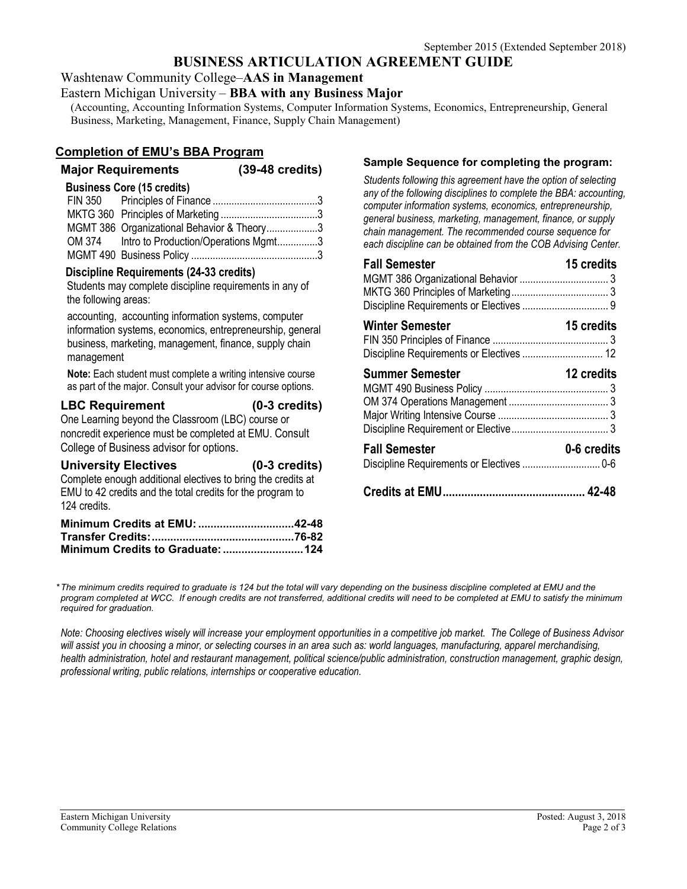# **BUSINESS ARTICULATION AGREEMENT GUIDE**

Washtenaw Community College–**AAS in Management** 

#### Eastern Michigan University – **BBA with any Business Major**

(Accounting, Accounting Information Systems, Computer Information Systems, Economics, Entrepreneurship, General Business, Marketing, Management, Finance, Supply Chain Management)

## **Completion of EMU's BBA Program**

# **Major Requirements (39-48 credits)**

#### **Business Core (15 credits)**

| MGMT 386 Organizational Behavior & Theory3  |  |
|---------------------------------------------|--|
| OM 374 Intro to Production/Operations Mgmt3 |  |
|                                             |  |

#### **Discipline Requirements (24-33 credits)**

Students may complete discipline requirements in any of the following areas:

accounting, accounting information systems, computer information systems, economics, entrepreneurship, general business, marketing, management, finance, supply chain management

**Note:** Each student must complete a writing intensive course as part of the major. Consult your advisor for course options.

## **LBC Requirement (0-3 credits)**

One Learning beyond the Classroom (LBC) course or noncredit experience must be completed at EMU. Consult College of Business advisor for options.

## **University Electives (0-3 credits)**

Complete enough additional electives to bring the credits at EMU to 42 credits and the total credits for the program to 124 credits.

| Minimum Credits at EMU: 42-48 |  |
|-------------------------------|--|
|                               |  |
|                               |  |

#### **Sample Sequence for completing the program:**

*Students following this agreement have the option of selecting any of the following disciplines to complete the BBA: accounting, computer information systems, economics, entrepreneurship, general business, marketing, management, finance, or supply chain management. The recommended course sequence for each discipline can be obtained from the COB Advising Center.*

| <b>Fall Semester</b>   | 15 credits        |
|------------------------|-------------------|
| <b>Winter Semester</b> | 15 credits        |
| <b>Summer Semester</b> | <b>12 credits</b> |
| <b>Fall Semester</b>   | 0-6 credits       |
|                        |                   |

*\*The minimum credits required to graduate is 124 but the total will vary depending on the business discipline completed at EMU and the program completed at WCC. If enough credits are not transferred, additional credits will need to be completed at EMU to satisfy the minimum required for graduation.*

*Note: Choosing electives wisely will increase your employment opportunities in a competitive job market. The College of Business Advisor will assist you in choosing a minor, or selecting courses in an area such as: world languages, manufacturing, apparel merchandising, health administration, hotel and restaurant management, political science/public administration, construction management, graphic design, professional writing, public relations, internships or cooperative education.*